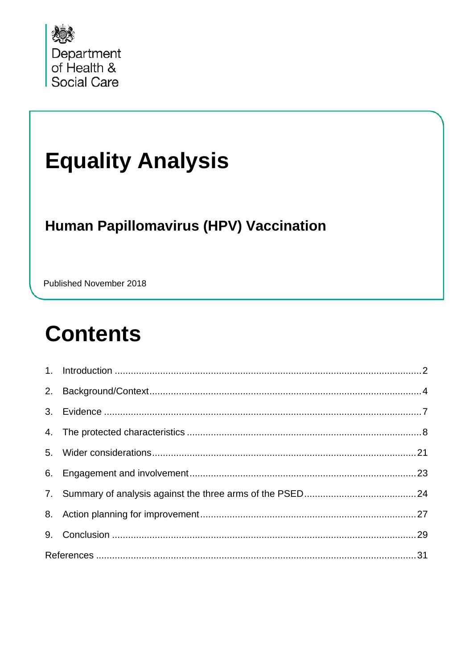

# **Equality Analysis**

#### **Human Papillomavirus (HPV) Vaccination**

Published November 2018

## **Contents**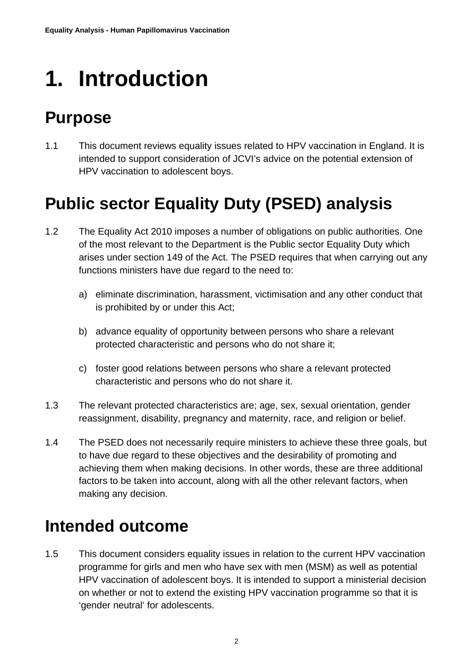# <span id="page-1-0"></span>**1. Introduction**

### **Purpose**

1.1 This document reviews equality issues related to HPV vaccination in England. It is intended to support consideration of JCVI's advice on the potential extension of HPV vaccination to adolescent boys.

### **Public sector Equality Duty (PSED) analysis**

- 1.2 The Equality Act 2010 imposes a number of obligations on public authorities. One of the most relevant to the Department is the Public sector Equality Duty which arises under section 149 of the Act. The PSED requires that when carrying out any functions ministers have due regard to the need to:
	- a) eliminate discrimination, harassment, victimisation and any other conduct that is prohibited by or under this Act;
	- b) advance equality of opportunity between persons who share a relevant protected characteristic and persons who do not share it;
	- c) foster good relations between persons who share a relevant protected characteristic and persons who do not share it.
- 1.3 The relevant protected characteristics are; age, sex, sexual orientation, gender reassignment, disability, pregnancy and maternity, race, and religion or belief.
- 1.4 The PSED does not necessarily require ministers to achieve these three goals, but to have due regard to these objectives and the desirability of promoting and achieving them when making decisions. In other words, these are three additional factors to be taken into account, along with all the other relevant factors, when making any decision.

### **Intended outcome**

1.5 This document considers equality issues in relation to the current HPV vaccination programme for girls and men who have sex with men (MSM) as well as potential HPV vaccination of adolescent boys. It is intended to support a ministerial decision on whether or not to extend the existing HPV vaccination programme so that it is 'gender neutral' for adolescents.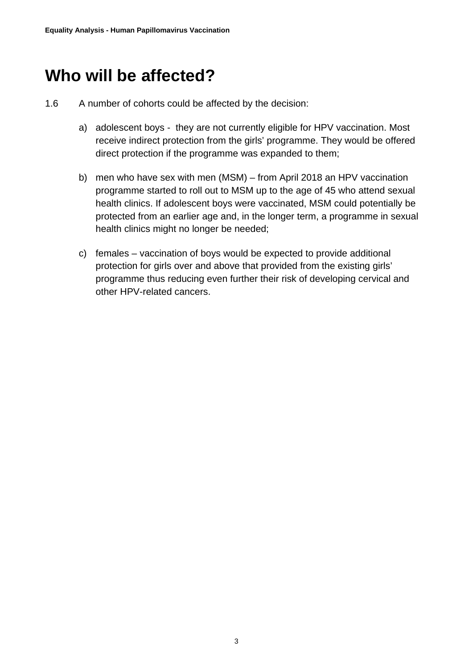#### **Who will be affected?**

- 1.6 A number of cohorts could be affected by the decision:
	- a) adolescent boys they are not currently eligible for HPV vaccination. Most receive indirect protection from the girls' programme. They would be offered direct protection if the programme was expanded to them;
	- b) men who have sex with men (MSM) from April 2018 an HPV vaccination programme started to roll out to MSM up to the age of 45 who attend sexual health clinics. If adolescent boys were vaccinated, MSM could potentially be protected from an earlier age and, in the longer term, a programme in sexual health clinics might no longer be needed;
	- c) females vaccination of boys would be expected to provide additional protection for girls over and above that provided from the existing girls' programme thus reducing even further their risk of developing cervical and other HPV-related cancers.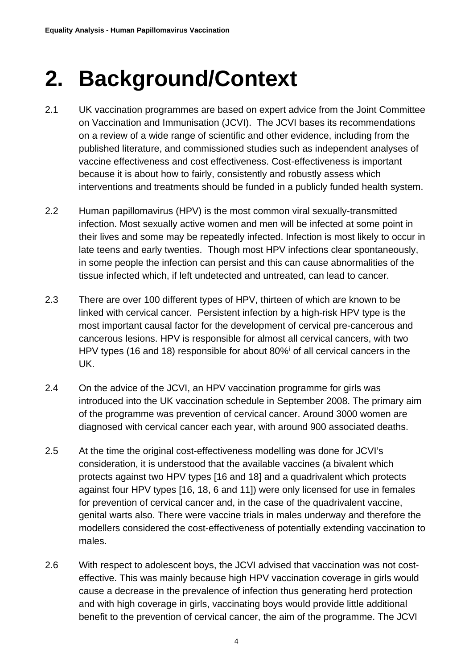## <span id="page-3-0"></span>**2. Background/Context**

- 2.1 UK vaccination programmes are based on expert advice from the Joint Committee on Vaccination and Immunisation (JCVI). The JCVI bases its recommendations on a review of a wide range of scientific and other evidence, including from the published literature, and commissioned studies such as independent analyses of vaccine effectiveness and cost effectiveness. Cost-effectiveness is important because it is about how to fairly, consistently and robustly assess which interventions and treatments should be funded in a publicly funded health system.
- 2.2 Human papillomavirus (HPV) is the most common viral sexually-transmitted infection. Most sexually active women and men will be infected at some point in their lives and some may be repeatedly infected. Infection is most likely to occur in late teens and early twenties. Though most HPV infections clear spontaneously, in some people the infection can persist and this can cause abnormalities of the tissue infected which, if left undetected and untreated, can lead to cancer.
- 2.3 There are over 100 different types of HPV, thirteen of which are known to be linked with cervical cancer. Persistent infection by a high-risk HPV type is the most important causal factor for the development of cervical pre-cancerous and cancerous lesions. HPV is responsible for almost all cervical cancers, with two HPV types (16 and 18) responsible for about 80%[i](#page-30-0) of all cervical cancers in the UK.
- 2.4 On the advice of the JCVI, an HPV vaccination programme for girls was introduced into the UK vaccination schedule in September 2008. The primary aim of the programme was prevention of cervical cancer. Around 3000 women are diagnosed with cervical cancer each year, with around 900 associated deaths.
- 2.5 At the time the original cost-effectiveness modelling was done for JCVI's consideration, it is understood that the available vaccines (a bivalent which protects against two HPV types [16 and 18] and a quadrivalent which protects against four HPV types [16, 18, 6 and 11]) were only licensed for use in females for prevention of cervical cancer and, in the case of the quadrivalent vaccine, genital warts also. There were vaccine trials in males underway and therefore the modellers considered the cost-effectiveness of potentially extending vaccination to males.
- 2.6 With respect to adolescent boys, the JCVI advised that vaccination was not costeffective. This was mainly because high HPV vaccination coverage in girls would cause a decrease in the prevalence of infection thus generating herd protection and with high coverage in girls, vaccinating boys would provide little additional benefit to the prevention of cervical cancer, the aim of the programme. The JCVI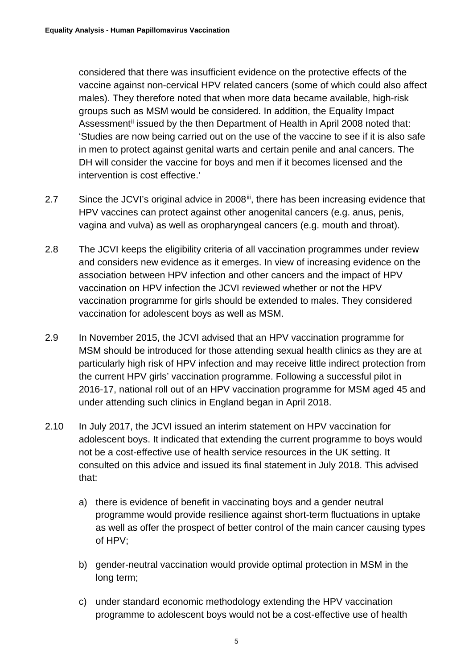considered that there was insufficient evidence on the protective effects of the vaccine against non-cervical HPV related cancers (some of which could also affect males). They therefore noted that when more data became available, high-risk groups such as MSM would be considered. In addition, the Equality Impact Assessment<sup>[ii](#page-30-1)</sup> issued by the then Department of Health in April 2008 noted that: 'Studies are now being carried out on the use of the vaccine to see if it is also safe in men to protect against genital warts and certain penile and anal cancers. The DH will consider the vaccine for boys and men if it becomes licensed and the intervention is cost effective.'

- 2.7 Since the JCVI's original advice in 2008<sup>iii</sup>, there has been increasing evidence that HPV vaccines can protect against other anogenital cancers (e.g. anus, penis, vagina and vulva) as well as oropharyngeal cancers (e.g. mouth and throat).
- 2.8 The JCVI keeps the eligibility criteria of all vaccination programmes under review and considers new evidence as it emerges. In view of increasing evidence on the association between HPV infection and other cancers and the impact of HPV vaccination on HPV infection the JCVI reviewed whether or not the HPV vaccination programme for girls should be extended to males. They considered vaccination for adolescent boys as well as MSM.
- 2.9 In November 2015, the JCVI advised that an HPV vaccination programme for MSM should be introduced for those attending sexual health clinics as they are at particularly high risk of HPV infection and may receive little indirect protection from the current HPV girls' vaccination programme. Following a successful pilot in 2016-17, national roll out of an HPV vaccination programme for MSM aged 45 and under attending such clinics in England began in April 2018.
- 2.10 In July 2017, the JCVI issued an interim statement on HPV vaccination for adolescent boys. It indicated that extending the current programme to boys would not be a cost-effective use of health service resources in the UK setting. It consulted on this advice and issued its final statement in July 2018. This advised that:
	- a) there is evidence of benefit in vaccinating boys and a gender neutral programme would provide resilience against short-term fluctuations in uptake as well as offer the prospect of better control of the main cancer causing types of HPV;
	- b) gender-neutral vaccination would provide optimal protection in MSM in the long term;
	- c) under standard economic methodology extending the HPV vaccination programme to adolescent boys would not be a cost-effective use of health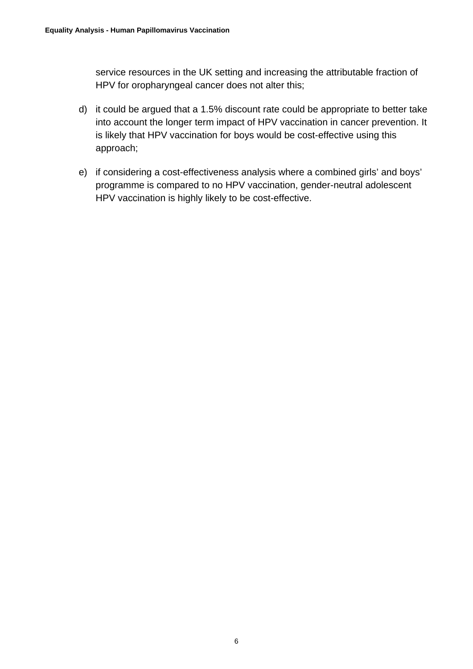service resources in the UK setting and increasing the attributable fraction of HPV for oropharyngeal cancer does not alter this;

- d) it could be argued that a 1.5% discount rate could be appropriate to better take into account the longer term impact of HPV vaccination in cancer prevention. It is likely that HPV vaccination for boys would be cost-effective using this approach;
- e) if considering a cost-effectiveness analysis where a combined girls' and boys' programme is compared to no HPV vaccination, gender-neutral adolescent HPV vaccination is highly likely to be cost-effective.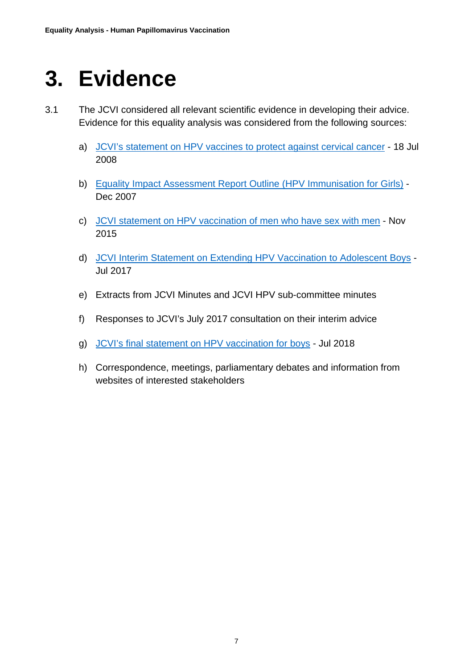## <span id="page-6-0"></span>**3. Evidence**

- 3.1 The JCVI considered all relevant scientific evidence in developing their advice. Evidence for this equality analysis was considered from the following sources:
	- a) [JCVI's statement on HPV vaccines to protect against cervical cancer](http://webarchive.nationalarchives.gov.uk/20120907090205/http:/www.dh.gov.uk/prod_consum_dh/groups/dh_digitalassets/@dh/@ab/documents/digitalasset/dh_094739.pdf) 18 Jul 2008
	- b) [Equality Impact Assessment Report Outline \(HPV Immunisation for Girls\)](http://webarchive.nationalarchives.gov.uk/20120503212515/http:/www.dh.gov.uk/prod_consum_dh/groups/dh_digitalassets/documents/digitalasset/dh_104014.pdf) Dec 2007
	- c) [JCVI statement on HPV vaccination of men who have sex with men](https://www.gov.uk/government/uploads/system/uploads/attachment_data/file/477954/JCVI_HPV.pdf) Nov 2015
	- d) [JCVI Interim Statement on Extending HPV Vaccination to Adolescent Boys](https://www.gov.uk/government/uploads/system/uploads/attachment_data/file/630125/Extending_HPV_Vaccination.pdf) Jul 2017
	- e) Extracts from JCVI Minutes and JCVI HPV sub-committee minutes
	- f) Responses to JCVI's July 2017 consultation on their interim advice
	- g) [JCVI's final statement on HPV vaccination for boys](https://www.gov.uk/government/publications/jcvi-statement-extending-the-hpv-vaccination-programme-conclusions) Jul 2018
	- h) Correspondence, meetings, parliamentary debates and information from websites of interested stakeholders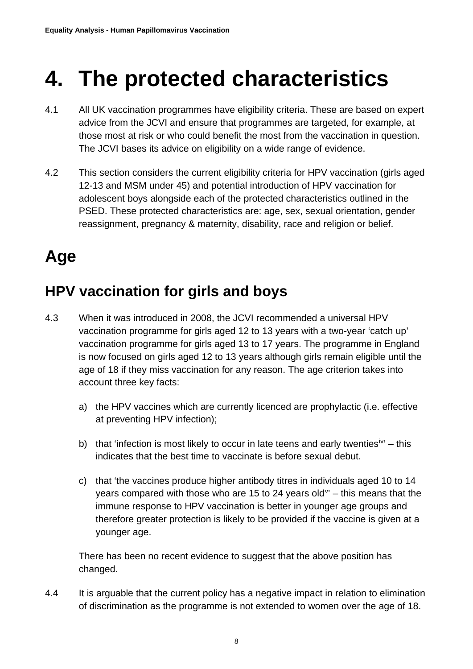## <span id="page-7-0"></span>**4. The protected characteristics**

- 4.1 All UK vaccination programmes have eligibility criteria. These are based on expert advice from the JCVI and ensure that programmes are targeted, for example, at those most at risk or who could benefit the most from the vaccination in question. The JCVI bases its advice on eligibility on a wide range of evidence.
- 4.2 This section considers the current eligibility criteria for HPV vaccination (girls aged 12-13 and MSM under 45) and potential introduction of HPV vaccination for adolescent boys alongside each of the protected characteristics outlined in the PSED. These protected characteristics are: age, sex, sexual orientation, gender reassignment, pregnancy & maternity, disability, race and religion or belief.

### **Age**

#### **HPV vaccination for girls and boys**

- 4.3 When it was introduced in 2008, the JCVI recommended a universal HPV vaccination programme for girls aged 12 to 13 years with a two-year 'catch up' vaccination programme for girls aged 13 to 17 years. The programme in England is now focused on girls aged 12 to 13 years although girls remain eligible until the age of 18 if they miss vaccination for any reason. The age criterion takes into account three key facts:
	- a) the HPV vaccines which are currently licenced are prophylactic (i.e. effective at preventing HPV infection);
	- b) that 'infection is most likely to occur in late teens and early twenties<sup>[iv'](#page-30-3)</sup> this indicates that the best time to vaccinate is before sexual debut.
	- c) that 'the vaccines produce higher antibody titres in individuals aged 10 to 14 years compared with those who are 15 to 24 years old $v - t$  $v - t$  this means that the immune response to HPV vaccination is better in younger age groups and therefore greater protection is likely to be provided if the vaccine is given at a younger age.

There has been no recent evidence to suggest that the above position has changed.

4.4 It is arguable that the current policy has a negative impact in relation to elimination of discrimination as the programme is not extended to women over the age of 18.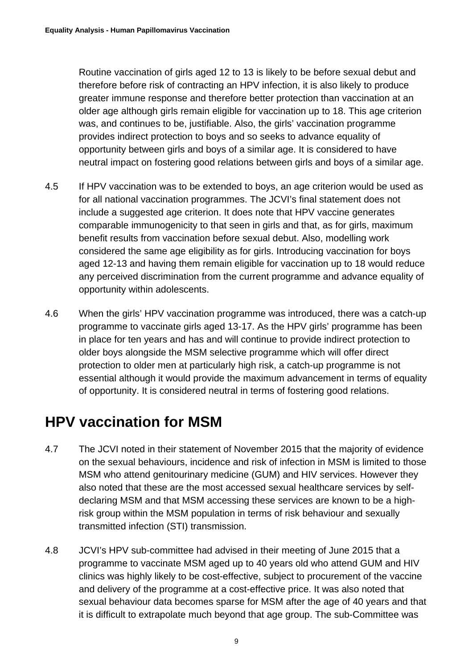Routine vaccination of girls aged 12 to 13 is likely to be before sexual debut and therefore before risk of contracting an HPV infection, it is also likely to produce greater immune response and therefore better protection than vaccination at an older age although girls remain eligible for vaccination up to 18. This age criterion was, and continues to be, justifiable. Also, the girls' vaccination programme provides indirect protection to boys and so seeks to advance equality of opportunity between girls and boys of a similar age. It is considered to have neutral impact on fostering good relations between girls and boys of a similar age.

- 4.5 If HPV vaccination was to be extended to boys, an age criterion would be used as for all national vaccination programmes. The JCVI's final statement does not include a suggested age criterion. It does note that HPV vaccine generates comparable immunogenicity to that seen in girls and that, as for girls, maximum benefit results from vaccination before sexual debut. Also, modelling work considered the same age eligibility as for girls. Introducing vaccination for boys aged 12-13 and having them remain eligible for vaccination up to 18 would reduce any perceived discrimination from the current programme and advance equality of opportunity within adolescents.
- 4.6 When the girls' HPV vaccination programme was introduced, there was a catch-up programme to vaccinate girls aged 13-17. As the HPV girls' programme has been in place for ten years and has and will continue to provide indirect protection to older boys alongside the MSM selective programme which will offer direct protection to older men at particularly high risk, a catch-up programme is not essential although it would provide the maximum advancement in terms of equality of opportunity. It is considered neutral in terms of fostering good relations.

#### **HPV vaccination for MSM**

- 4.7 The JCVI noted in their statement of November 2015 that the majority of evidence on the sexual behaviours, incidence and risk of infection in MSM is limited to those MSM who attend genitourinary medicine (GUM) and HIV services. However they also noted that these are the most accessed sexual healthcare services by selfdeclaring MSM and that MSM accessing these services are known to be a highrisk group within the MSM population in terms of risk behaviour and sexually transmitted infection (STI) transmission.
- 4.8 JCVI's HPV sub-committee had advised in their meeting of June 2015 that a programme to vaccinate MSM aged up to 40 years old who attend GUM and HIV clinics was highly likely to be cost-effective, subject to procurement of the vaccine and delivery of the programme at a cost-effective price. It was also noted that sexual behaviour data becomes sparse for MSM after the age of 40 years and that it is difficult to extrapolate much beyond that age group. The sub-Committee was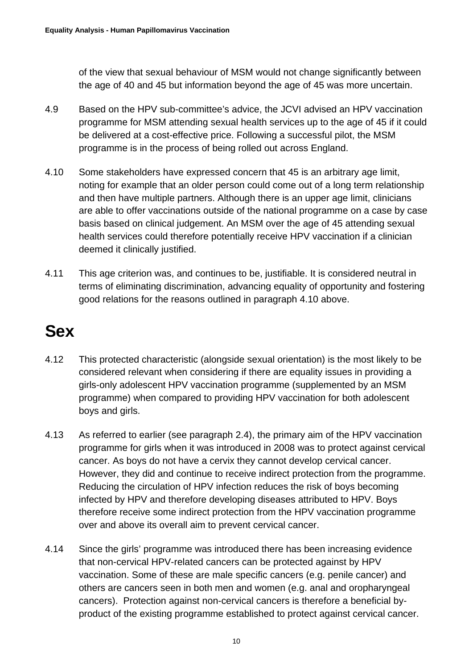of the view that sexual behaviour of MSM would not change significantly between the age of 40 and 45 but information beyond the age of 45 was more uncertain.

- 4.9 Based on the HPV sub-committee's advice, the JCVI advised an HPV vaccination programme for MSM attending sexual health services up to the age of 45 if it could be delivered at a cost-effective price. Following a successful pilot, the MSM programme is in the process of being rolled out across England.
- 4.10 Some stakeholders have expressed concern that 45 is an arbitrary age limit, noting for example that an older person could come out of a long term relationship and then have multiple partners. Although there is an upper age limit, clinicians are able to offer vaccinations outside of the national programme on a case by case basis based on clinical judgement. An MSM over the age of 45 attending sexual health services could therefore potentially receive HPV vaccination if a clinician deemed it clinically justified.
- 4.11 This age criterion was, and continues to be, justifiable. It is considered neutral in terms of eliminating discrimination, advancing equality of opportunity and fostering good relations for the reasons outlined in paragraph 4.10 above.

### **Sex**

- 4.12 This protected characteristic (alongside sexual orientation) is the most likely to be considered relevant when considering if there are equality issues in providing a girls-only adolescent HPV vaccination programme (supplemented by an MSM programme) when compared to providing HPV vaccination for both adolescent boys and girls.
- 4.13 As referred to earlier (see paragraph 2.4), the primary aim of the HPV vaccination programme for girls when it was introduced in 2008 was to protect against cervical cancer. As boys do not have a cervix they cannot develop cervical cancer. However, they did and continue to receive indirect protection from the programme. Reducing the circulation of HPV infection reduces the risk of boys becoming infected by HPV and therefore developing diseases attributed to HPV. Boys therefore receive some indirect protection from the HPV vaccination programme over and above its overall aim to prevent cervical cancer.
- 4.14 Since the girls' programme was introduced there has been increasing evidence that non-cervical HPV-related cancers can be protected against by HPV vaccination. Some of these are male specific cancers (e.g. penile cancer) and others are cancers seen in both men and women (e.g. anal and oropharyngeal cancers). Protection against non-cervical cancers is therefore a beneficial byproduct of the existing programme established to protect against cervical cancer.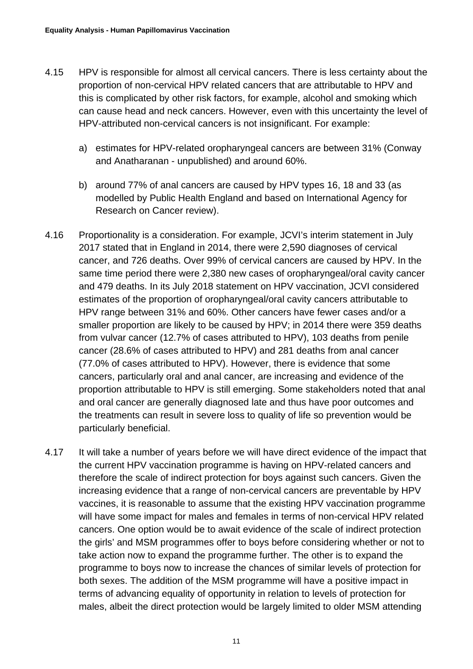- 4.15 HPV is responsible for almost all cervical cancers. There is less certainty about the proportion of non-cervical HPV related cancers that are attributable to HPV and this is complicated by other risk factors, for example, alcohol and smoking which can cause head and neck cancers. However, even with this uncertainty the level of HPV-attributed non-cervical cancers is not insignificant. For example:
	- a) estimates for HPV-related oropharyngeal cancers are between 31% (Conway and Anatharanan - unpublished) and around 60%.
	- b) around 77% of anal cancers are caused by HPV types 16, 18 and 33 (as modelled by Public Health England and based on International Agency for Research on Cancer review).
- 4.16 Proportionality is a consideration. For example, JCVI's interim statement in July 2017 stated that in England in 2014, there were 2,590 diagnoses of cervical cancer, and 726 deaths. Over 99% of cervical cancers are caused by HPV. In the same time period there were 2,380 new cases of oropharyngeal/oral cavity cancer and 479 deaths. In its July 2018 statement on HPV vaccination, JCVI considered estimates of the proportion of oropharyngeal/oral cavity cancers attributable to HPV range between 31% and 60%. Other cancers have fewer cases and/or a smaller proportion are likely to be caused by HPV; in 2014 there were 359 deaths from vulvar cancer (12.7% of cases attributed to HPV), 103 deaths from penile cancer (28.6% of cases attributed to HPV) and 281 deaths from anal cancer (77.0% of cases attributed to HPV). However, there is evidence that some cancers, particularly oral and anal cancer, are increasing and evidence of the proportion attributable to HPV is still emerging. Some stakeholders noted that anal and oral cancer are generally diagnosed late and thus have poor outcomes and the treatments can result in severe loss to quality of life so prevention would be particularly beneficial.
- 4.17 It will take a number of years before we will have direct evidence of the impact that the current HPV vaccination programme is having on HPV-related cancers and therefore the scale of indirect protection for boys against such cancers. Given the increasing evidence that a range of non-cervical cancers are preventable by HPV vaccines, it is reasonable to assume that the existing HPV vaccination programme will have some impact for males and females in terms of non-cervical HPV related cancers. One option would be to await evidence of the scale of indirect protection the girls' and MSM programmes offer to boys before considering whether or not to take action now to expand the programme further. The other is to expand the programme to boys now to increase the chances of similar levels of protection for both sexes. The addition of the MSM programme will have a positive impact in terms of advancing equality of opportunity in relation to levels of protection for males, albeit the direct protection would be largely limited to older MSM attending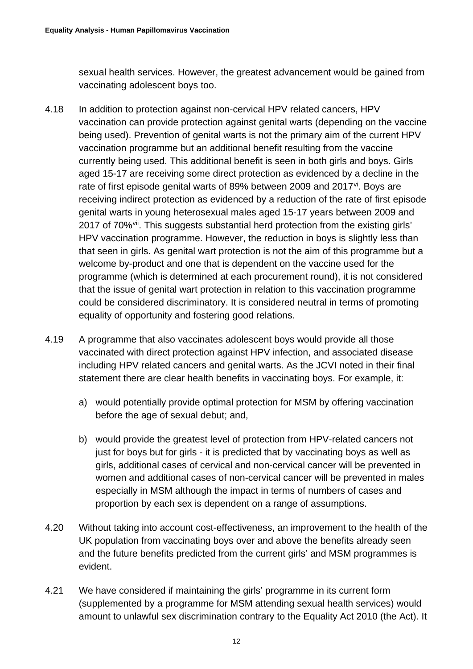sexual health services. However, the greatest advancement would be gained from vaccinating adolescent boys too.

- 4.18 In addition to protection against non-cervical HPV related cancers, HPV vaccination can provide protection against genital warts (depending on the vaccine being used). Prevention of genital warts is not the primary aim of the current HPV vaccination programme but an additional benefit resulting from the vaccine currently being used. This additional benefit is seen in both girls and boys. Girls aged 15-17 are receiving some direct protection as evidenced by a decline in the rate of first episode genital warts of 89% between 2009 and 2017<sup>[vi](#page-30-5)</sup>. Boys are receiving indirect protection as evidenced by a reduction of the rate of first episode genital warts in young heterosexual males aged 15-17 years between 2009 and 2017 of 70%<sup>vii</sup>. This suggests substantial herd protection from the existing girls' HPV vaccination programme. However, the reduction in boys is slightly less than that seen in girls. As genital wart protection is not the aim of this programme but a welcome by-product and one that is dependent on the vaccine used for the programme (which is determined at each procurement round), it is not considered that the issue of genital wart protection in relation to this vaccination programme could be considered discriminatory. It is considered neutral in terms of promoting equality of opportunity and fostering good relations.
- 4.19 A programme that also vaccinates adolescent boys would provide all those vaccinated with direct protection against HPV infection, and associated disease including HPV related cancers and genital warts. As the JCVI noted in their final statement there are clear health benefits in vaccinating boys. For example, it:
	- a) would potentially provide optimal protection for MSM by offering vaccination before the age of sexual debut; and,
	- b) would provide the greatest level of protection from HPV-related cancers not just for boys but for girls - it is predicted that by vaccinating boys as well as girls, additional cases of cervical and non-cervical cancer will be prevented in women and additional cases of non-cervical cancer will be prevented in males especially in MSM although the impact in terms of numbers of cases and proportion by each sex is dependent on a range of assumptions.
- 4.20 Without taking into account cost-effectiveness, an improvement to the health of the UK population from vaccinating boys over and above the benefits already seen and the future benefits predicted from the current girls' and MSM programmes is evident.
- 4.21 We have considered if maintaining the girls' programme in its current form (supplemented by a programme for MSM attending sexual health services) would amount to unlawful sex discrimination contrary to the Equality Act 2010 (the Act). It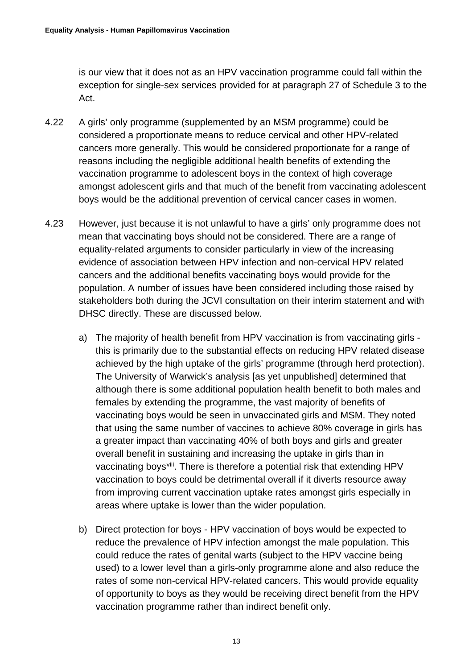is our view that it does not as an HPV vaccination programme could fall within the exception for single-sex services provided for at paragraph 27 of Schedule 3 to the Act.

- 4.22 A girls' only programme (supplemented by an MSM programme) could be considered a proportionate means to reduce cervical and other HPV-related cancers more generally. This would be considered proportionate for a range of reasons including the negligible additional health benefits of extending the vaccination programme to adolescent boys in the context of high coverage amongst adolescent girls and that much of the benefit from vaccinating adolescent boys would be the additional prevention of cervical cancer cases in women.
- 4.23 However, just because it is not unlawful to have a girls' only programme does not mean that vaccinating boys should not be considered. There are a range of equality-related arguments to consider particularly in view of the increasing evidence of association between HPV infection and non-cervical HPV related cancers and the additional benefits vaccinating boys would provide for the population. A number of issues have been considered including those raised by stakeholders both during the JCVI consultation on their interim statement and with DHSC directly. These are discussed below.
	- a) The majority of health benefit from HPV vaccination is from vaccinating girls this is primarily due to the substantial effects on reducing HPV related disease achieved by the high uptake of the girls' programme (through herd protection). The University of Warwick's analysis [as yet unpublished] determined that although there is some additional population health benefit to both males and females by extending the programme, the vast majority of benefits of vaccinating boys would be seen in unvaccinated girls and MSM. They noted that using the same number of vaccines to achieve 80% coverage in girls has a greater impact than vaccinating 40% of both boys and girls and greater overall benefit in sustaining and increasing the uptake in girls than in vaccinating boys<sup>[viii](#page-30-7)</sup>. There is therefore a potential risk that extending HPV vaccination to boys could be detrimental overall if it diverts resource away from improving current vaccination uptake rates amongst girls especially in areas where uptake is lower than the wider population.
	- b) Direct protection for boys HPV vaccination of boys would be expected to reduce the prevalence of HPV infection amongst the male population. This could reduce the rates of genital warts (subject to the HPV vaccine being used) to a lower level than a girls-only programme alone and also reduce the rates of some non-cervical HPV-related cancers. This would provide equality of opportunity to boys as they would be receiving direct benefit from the HPV vaccination programme rather than indirect benefit only.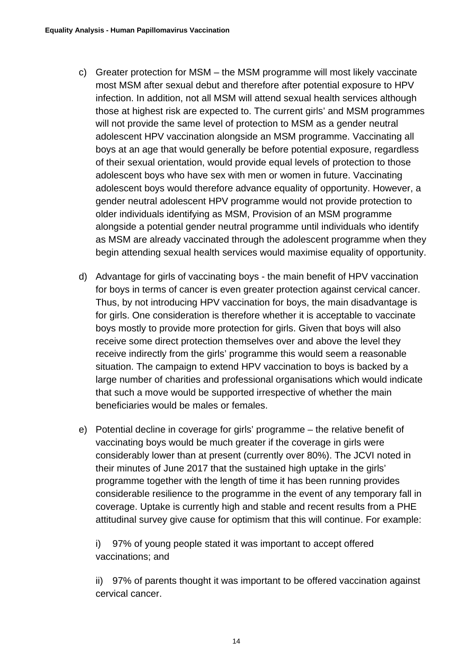- c) Greater protection for MSM the MSM programme will most likely vaccinate most MSM after sexual debut and therefore after potential exposure to HPV infection. In addition, not all MSM will attend sexual health services although those at highest risk are expected to. The current girls' and MSM programmes will not provide the same level of protection to MSM as a gender neutral adolescent HPV vaccination alongside an MSM programme. Vaccinating all boys at an age that would generally be before potential exposure, regardless of their sexual orientation, would provide equal levels of protection to those adolescent boys who have sex with men or women in future. Vaccinating adolescent boys would therefore advance equality of opportunity. However, a gender neutral adolescent HPV programme would not provide protection to older individuals identifying as MSM, Provision of an MSM programme alongside a potential gender neutral programme until individuals who identify as MSM are already vaccinated through the adolescent programme when they begin attending sexual health services would maximise equality of opportunity.
- d) Advantage for girls of vaccinating boys the main benefit of HPV vaccination for boys in terms of cancer is even greater protection against cervical cancer. Thus, by not introducing HPV vaccination for boys, the main disadvantage is for girls. One consideration is therefore whether it is acceptable to vaccinate boys mostly to provide more protection for girls. Given that boys will also receive some direct protection themselves over and above the level they receive indirectly from the girls' programme this would seem a reasonable situation. The campaign to extend HPV vaccination to boys is backed by a large number of charities and professional organisations which would indicate that such a move would be supported irrespective of whether the main beneficiaries would be males or females.
- e) Potential decline in coverage for girls' programme the relative benefit of vaccinating boys would be much greater if the coverage in girls were considerably lower than at present (currently over 80%). The JCVI noted in their minutes of June 2017 that the sustained high uptake in the girls' programme together with the length of time it has been running provides considerable resilience to the programme in the event of any temporary fall in coverage. Uptake is currently high and stable and recent results from a PHE attitudinal survey give cause for optimism that this will continue. For example:

i) 97% of young people stated it was important to accept offered vaccinations; and

ii) 97% of parents thought it was important to be offered vaccination against cervical cancer.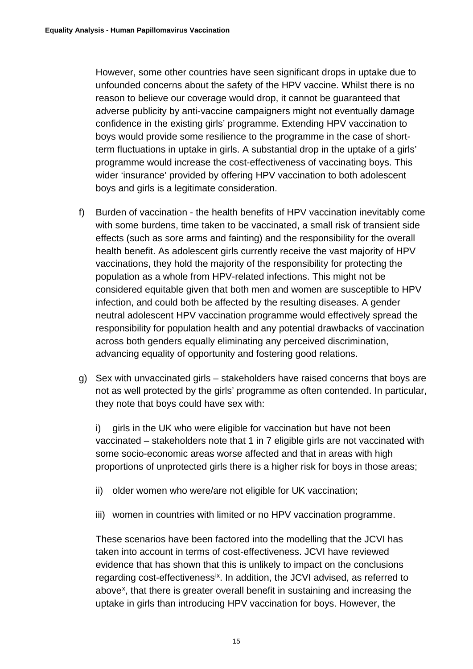However, some other countries have seen significant drops in uptake due to unfounded concerns about the safety of the HPV vaccine. Whilst there is no reason to believe our coverage would drop, it cannot be guaranteed that adverse publicity by anti-vaccine campaigners might not eventually damage confidence in the existing girls' programme. Extending HPV vaccination to boys would provide some resilience to the programme in the case of shortterm fluctuations in uptake in girls. A substantial drop in the uptake of a girls' programme would increase the cost-effectiveness of vaccinating boys. This wider 'insurance' provided by offering HPV vaccination to both adolescent boys and girls is a legitimate consideration.

- f) Burden of vaccination the health benefits of HPV vaccination inevitably come with some burdens, time taken to be vaccinated, a small risk of transient side effects (such as sore arms and fainting) and the responsibility for the overall health benefit. As adolescent girls currently receive the vast majority of HPV vaccinations, they hold the majority of the responsibility for protecting the population as a whole from HPV-related infections. This might not be considered equitable given that both men and women are susceptible to HPV infection, and could both be affected by the resulting diseases. A gender neutral adolescent HPV vaccination programme would effectively spread the responsibility for population health and any potential drawbacks of vaccination across both genders equally eliminating any perceived discrimination, advancing equality of opportunity and fostering good relations.
- g) Sex with unvaccinated girls stakeholders have raised concerns that boys are not as well protected by the girls' programme as often contended. In particular, they note that boys could have sex with:

i) girls in the UK who were eligible for vaccination but have not been vaccinated – stakeholders note that 1 in 7 eligible girls are not vaccinated with some socio-economic areas worse affected and that in areas with high proportions of unprotected girls there is a higher risk for boys in those areas;

- ii) older women who were/are not eligible for UK vaccination;
- iii) women in countries with limited or no HPV vaccination programme.

These scenarios have been factored into the modelling that the JCVI has taken into account in terms of cost-effectiveness. JCVI have reviewed evidence that has shown that this is unlikely to impact on the conclusions regarding cost-effectiveness<sup>ix</sup>. In addition, the JCVI advised, as referred to above<sup>[x](#page-30-9)</sup>, that there is greater overall benefit in sustaining and increasing the uptake in girls than introducing HPV vaccination for boys. However, the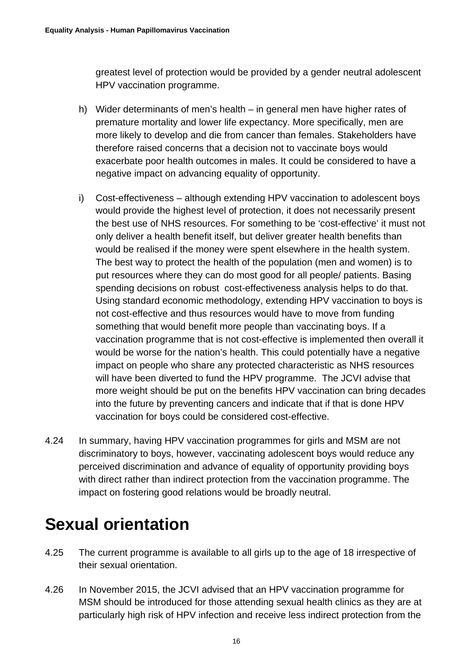greatest level of protection would be provided by a gender neutral adolescent HPV vaccination programme.

- h) Wider determinants of men's health in general men have higher rates of premature mortality and lower life expectancy. More specifically, men are more likely to develop and die from cancer than females. Stakeholders have therefore raised concerns that a decision not to vaccinate boys would exacerbate poor health outcomes in males. It could be considered to have a negative impact on advancing equality of opportunity.
- i) Cost-effectiveness although extending HPV vaccination to adolescent boys would provide the highest level of protection, it does not necessarily present the best use of NHS resources. For something to be 'cost-effective' it must not only deliver a health benefit itself, but deliver greater health benefits than would be realised if the money were spent elsewhere in the health system. The best way to protect the health of the population (men and women) is to put resources where they can do most good for all people/ patients. Basing spending decisions on robust cost-effectiveness analysis helps to do that. Using standard economic methodology, extending HPV vaccination to boys is not cost-effective and thus resources would have to move from funding something that would benefit more people than vaccinating boys. If a vaccination programme that is not cost-effective is implemented then overall it would be worse for the nation's health. This could potentially have a negative impact on people who share any protected characteristic as NHS resources will have been diverted to fund the HPV programme. The JCVI advise that more weight should be put on the benefits HPV vaccination can bring decades into the future by preventing cancers and indicate that if that is done HPV vaccination for boys could be considered cost-effective.
- 4.24 In summary, having HPV vaccination programmes for girls and MSM are not discriminatory to boys, however, vaccinating adolescent boys would reduce any perceived discrimination and advance of equality of opportunity providing boys with direct rather than indirect protection from the vaccination programme. The impact on fostering good relations would be broadly neutral.

### **Sexual orientation**

- 4.25 The current programme is available to all girls up to the age of 18 irrespective of their sexual orientation.
- 4.26 In November 2015, the JCVI advised that an HPV vaccination programme for MSM should be introduced for those attending sexual health clinics as they are at particularly high risk of HPV infection and receive less indirect protection from the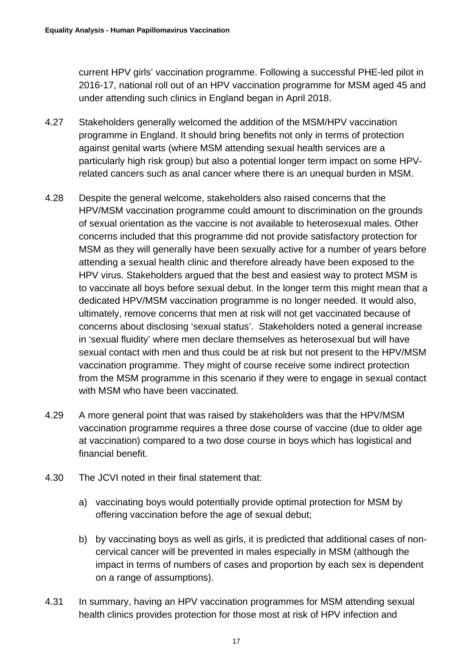current HPV girls' vaccination programme. Following a successful PHE-led pilot in 2016-17, national roll out of an HPV vaccination programme for MSM aged 45 and under attending such clinics in England began in April 2018.

- 4.27 Stakeholders generally welcomed the addition of the MSM/HPV vaccination programme in England. It should bring benefits not only in terms of protection against genital warts (where MSM attending sexual health services are a particularly high risk group) but also a potential longer term impact on some HPVrelated cancers such as anal cancer where there is an unequal burden in MSM.
- 4.28 Despite the general welcome, stakeholders also raised concerns that the HPV/MSM vaccination programme could amount to discrimination on the grounds of sexual orientation as the vaccine is not available to heterosexual males. Other concerns included that this programme did not provide satisfactory protection for MSM as they will generally have been sexually active for a number of years before attending a sexual health clinic and therefore already have been exposed to the HPV virus. Stakeholders argued that the best and easiest way to protect MSM is to vaccinate all boys before sexual debut. In the longer term this might mean that a dedicated HPV/MSM vaccination programme is no longer needed. It would also, ultimately, remove concerns that men at risk will not get vaccinated because of concerns about disclosing 'sexual status'. Stakeholders noted a general increase in 'sexual fluidity' where men declare themselves as heterosexual but will have sexual contact with men and thus could be at risk but not present to the HPV/MSM vaccination programme. They might of course receive some indirect protection from the MSM programme in this scenario if they were to engage in sexual contact with MSM who have been vaccinated.
- 4.29 A more general point that was raised by stakeholders was that the HPV/MSM vaccination programme requires a three dose course of vaccine (due to older age at vaccination) compared to a two dose course in boys which has logistical and financial benefit.
- 4.30 The JCVI noted in their final statement that:
	- a) vaccinating boys would potentially provide optimal protection for MSM by offering vaccination before the age of sexual debut;
	- b) by vaccinating boys as well as girls, it is predicted that additional cases of noncervical cancer will be prevented in males especially in MSM (although the impact in terms of numbers of cases and proportion by each sex is dependent on a range of assumptions).
- 4.31 In summary, having an HPV vaccination programmes for MSM attending sexual health clinics provides protection for those most at risk of HPV infection and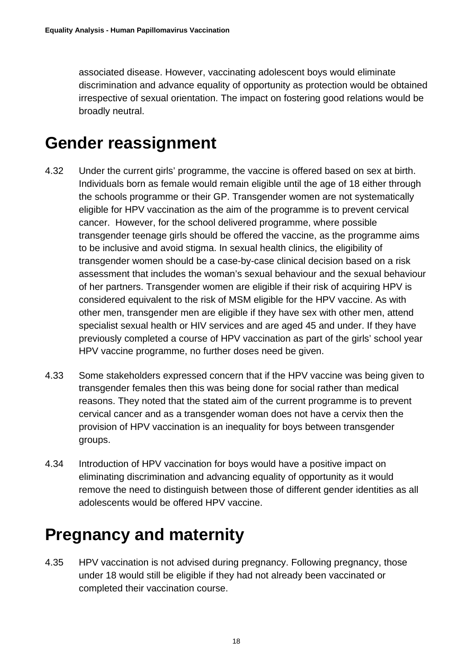associated disease. However, vaccinating adolescent boys would eliminate discrimination and advance equality of opportunity as protection would be obtained irrespective of sexual orientation. The impact on fostering good relations would be broadly neutral.

#### **Gender reassignment**

- 4.32 Under the current girls' programme, the vaccine is offered based on sex at birth. Individuals born as female would remain eligible until the age of 18 either through the schools programme or their GP. Transgender women are not systematically eligible for HPV vaccination as the aim of the programme is to prevent cervical cancer. However, for the school delivered programme, where possible transgender teenage girls should be offered the vaccine, as the programme aims to be inclusive and avoid stigma. In sexual health clinics, the eligibility of transgender women should be a case-by-case clinical decision based on a risk assessment that includes the woman's sexual behaviour and the sexual behaviour of her partners. Transgender women are eligible if their risk of acquiring HPV is considered equivalent to the risk of MSM eligible for the HPV vaccine. As with other men, transgender men are eligible if they have sex with other men, attend specialist sexual health or HIV services and are aged 45 and under. If they have previously completed a course of HPV vaccination as part of the girls' school year HPV vaccine programme, no further doses need be given.
- 4.33 Some stakeholders expressed concern that if the HPV vaccine was being given to transgender females then this was being done for social rather than medical reasons. They noted that the stated aim of the current programme is to prevent cervical cancer and as a transgender woman does not have a cervix then the provision of HPV vaccination is an inequality for boys between transgender groups.
- 4.34 Introduction of HPV vaccination for boys would have a positive impact on eliminating discrimination and advancing equality of opportunity as it would remove the need to distinguish between those of different gender identities as all adolescents would be offered HPV vaccine.

#### **Pregnancy and maternity**

4.35 HPV vaccination is not advised during pregnancy. Following pregnancy, those under 18 would still be eligible if they had not already been vaccinated or completed their vaccination course.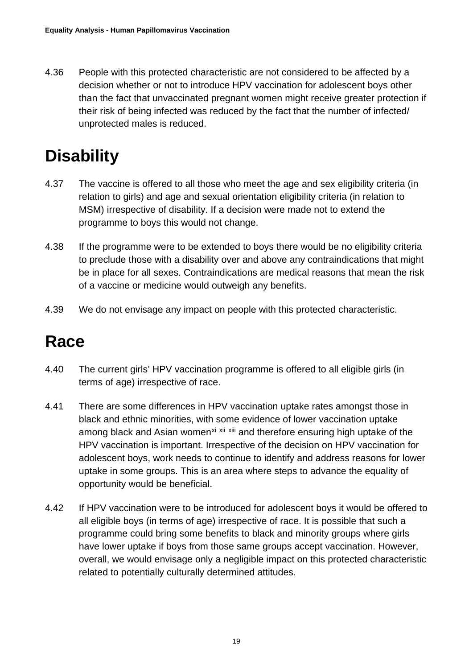4.36 People with this protected characteristic are not considered to be affected by a decision whether or not to introduce HPV vaccination for adolescent boys other than the fact that unvaccinated pregnant women might receive greater protection if their risk of being infected was reduced by the fact that the number of infected/ unprotected males is reduced.

### **Disability**

- 4.37 The vaccine is offered to all those who meet the age and sex eligibility criteria (in relation to girls) and age and sexual orientation eligibility criteria (in relation to MSM) irrespective of disability. If a decision were made not to extend the programme to boys this would not change.
- 4.38 If the programme were to be extended to boys there would be no eligibility criteria to preclude those with a disability over and above any contraindications that might be in place for all sexes. Contraindications are medical reasons that mean the risk of a vaccine or medicine would outweigh any benefits.
- 4.39 We do not envisage any impact on people with this protected characteristic.

### **Race**

- 4.40 The current girls' HPV vaccination programme is offered to all eligible girls (in terms of age) irrespective of race.
- 4.41 There are some differences in HPV vaccination uptake rates amongst those in black and ethnic minorities, with some evidence of lower vaccination uptake among black and Asian women<sup>[xi](#page-30-10) [xii](#page-30-11) [xiii](#page-30-12)</sup> and therefore ensuring high uptake of the HPV vaccination is important. Irrespective of the decision on HPV vaccination for adolescent boys, work needs to continue to identify and address reasons for lower uptake in some groups. This is an area where steps to advance the equality of opportunity would be beneficial.
- 4.42 If HPV vaccination were to be introduced for adolescent boys it would be offered to all eligible boys (in terms of age) irrespective of race. It is possible that such a programme could bring some benefits to black and minority groups where girls have lower uptake if boys from those same groups accept vaccination. However, overall, we would envisage only a negligible impact on this protected characteristic related to potentially culturally determined attitudes.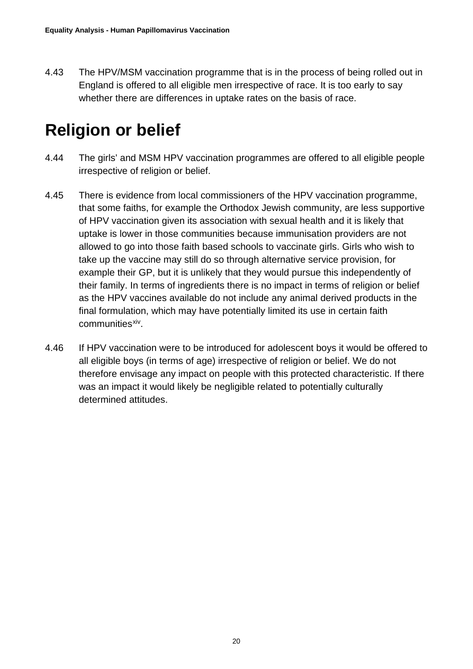4.43 The HPV/MSM vaccination programme that is in the process of being rolled out in England is offered to all eligible men irrespective of race. It is too early to say whether there are differences in uptake rates on the basis of race.

### **Religion or belief**

- 4.44 The girls' and MSM HPV vaccination programmes are offered to all eligible people irrespective of religion or belief.
- 4.45 There is evidence from local commissioners of the HPV vaccination programme, that some faiths, for example the Orthodox Jewish community, are less supportive of HPV vaccination given its association with sexual health and it is likely that uptake is lower in those communities because immunisation providers are not allowed to go into those faith based schools to vaccinate girls. Girls who wish to take up the vaccine may still do so through alternative service provision, for example their GP, but it is unlikely that they would pursue this independently of their family. In terms of ingredients there is no impact in terms of religion or belief as the HPV vaccines available do not include any animal derived products in the final formulation, which may have potentially limited its use in certain faith communities<sup>xiv</sup>
- 4.46 If HPV vaccination were to be introduced for adolescent boys it would be offered to all eligible boys (in terms of age) irrespective of religion or belief. We do not therefore envisage any impact on people with this protected characteristic. If there was an impact it would likely be negligible related to potentially culturally determined attitudes.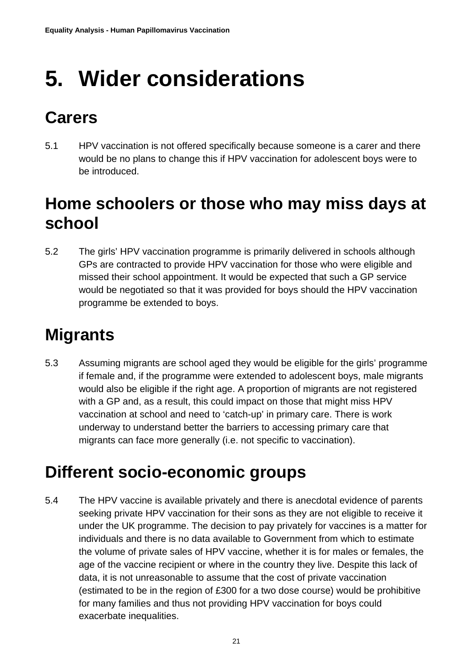# <span id="page-20-0"></span>**5. Wider considerations**

### **Carers**

5.1 HPV vaccination is not offered specifically because someone is a carer and there would be no plans to change this if HPV vaccination for adolescent boys were to be introduced.

### **Home schoolers or those who may miss days at school**

5.2 The girls' HPV vaccination programme is primarily delivered in schools although GPs are contracted to provide HPV vaccination for those who were eligible and missed their school appointment. It would be expected that such a GP service would be negotiated so that it was provided for boys should the HPV vaccination programme be extended to boys.

### **Migrants**

5.3 Assuming migrants are school aged they would be eligible for the girls' programme if female and, if the programme were extended to adolescent boys, male migrants would also be eligible if the right age. A proportion of migrants are not registered with a GP and, as a result, this could impact on those that might miss HPV vaccination at school and need to 'catch-up' in primary care. There is work underway to understand better the barriers to accessing primary care that migrants can face more generally (i.e. not specific to vaccination).

### **Different socio-economic groups**

5.4 The HPV vaccine is available privately and there is anecdotal evidence of parents seeking private HPV vaccination for their sons as they are not eligible to receive it under the UK programme. The decision to pay privately for vaccines is a matter for individuals and there is no data available to Government from which to estimate the volume of private sales of HPV vaccine, whether it is for males or females, the age of the vaccine recipient or where in the country they live. Despite this lack of data, it is not unreasonable to assume that the cost of private vaccination (estimated to be in the region of £300 for a two dose course) would be prohibitive for many families and thus not providing HPV vaccination for boys could exacerbate inequalities.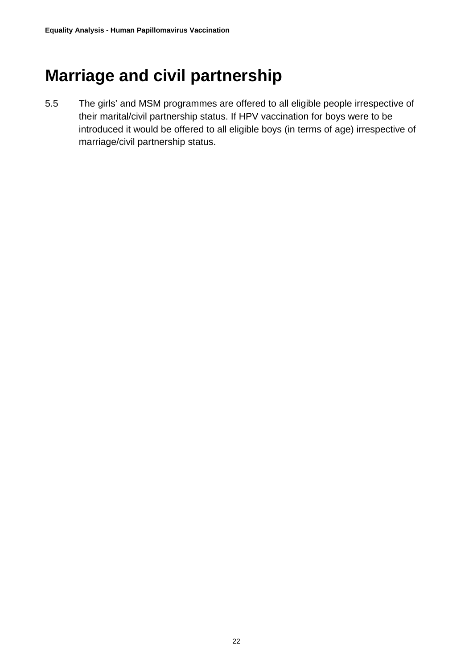#### **Marriage and civil partnership**

5.5 The girls' and MSM programmes are offered to all eligible people irrespective of their marital/civil partnership status. If HPV vaccination for boys were to be introduced it would be offered to all eligible boys (in terms of age) irrespective of marriage/civil partnership status.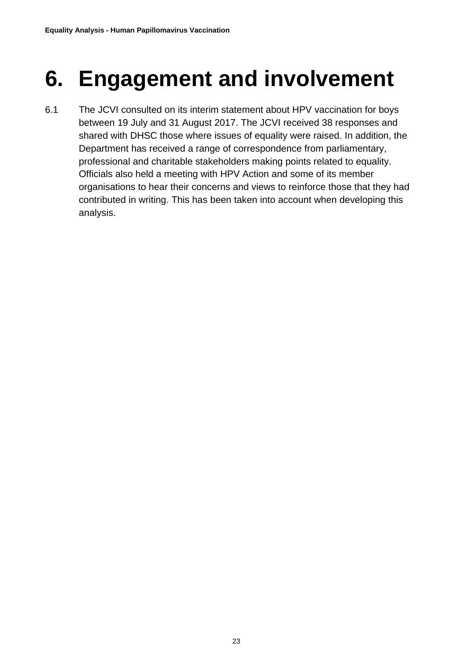# <span id="page-22-0"></span>**6. Engagement and involvement**

6.1 The JCVI consulted on its interim statement about HPV vaccination for boys between 19 July and 31 August 2017. The JCVI received 38 responses and shared with DHSC those where issues of equality were raised. In addition, the Department has received a range of correspondence from parliamentary, professional and charitable stakeholders making points related to equality. Officials also held a meeting with HPV Action and some of its member organisations to hear their concerns and views to reinforce those that they had contributed in writing. This has been taken into account when developing this analysis.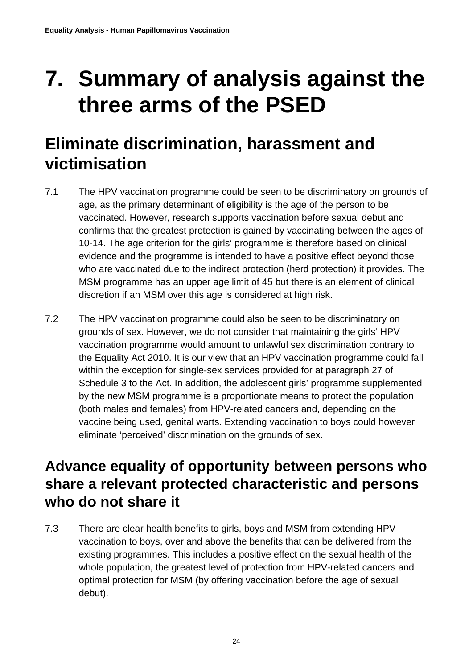## <span id="page-23-0"></span>**7. Summary of analysis against the three arms of the PSED**

### **Eliminate discrimination, harassment and victimisation**

- 7.1 The HPV vaccination programme could be seen to be discriminatory on grounds of age, as the primary determinant of eligibility is the age of the person to be vaccinated. However, research supports vaccination before sexual debut and confirms that the greatest protection is gained by vaccinating between the ages of 10-14. The age criterion for the girls' programme is therefore based on clinical evidence and the programme is intended to have a positive effect beyond those who are vaccinated due to the indirect protection (herd protection) it provides. The MSM programme has an upper age limit of 45 but there is an element of clinical discretion if an MSM over this age is considered at high risk.
- 7.2 The HPV vaccination programme could also be seen to be discriminatory on grounds of sex. However, we do not consider that maintaining the girls' HPV vaccination programme would amount to unlawful sex discrimination contrary to the Equality Act 2010. It is our view that an HPV vaccination programme could fall within the exception for single-sex services provided for at paragraph 27 of Schedule 3 to the Act. In addition, the adolescent girls' programme supplemented by the new MSM programme is a proportionate means to protect the population (both males and females) from HPV-related cancers and, depending on the vaccine being used, genital warts. Extending vaccination to boys could however eliminate 'perceived' discrimination on the grounds of sex.

#### **Advance equality of opportunity between persons who share a relevant protected characteristic and persons who do not share it**

7.3 There are clear health benefits to girls, boys and MSM from extending HPV vaccination to boys, over and above the benefits that can be delivered from the existing programmes. This includes a positive effect on the sexual health of the whole population, the greatest level of protection from HPV-related cancers and optimal protection for MSM (by offering vaccination before the age of sexual debut).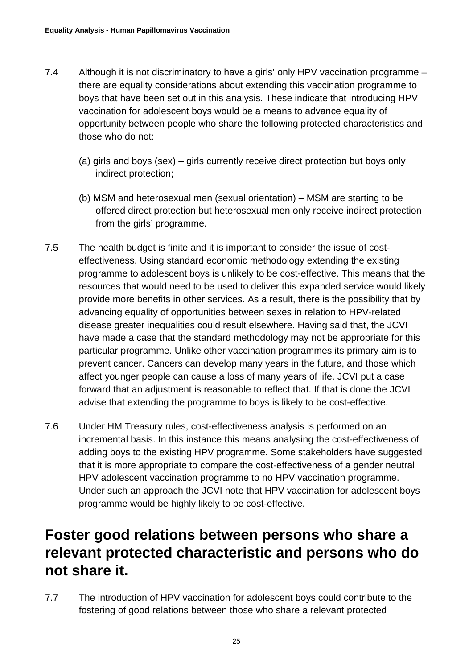- 7.4 Although it is not discriminatory to have a girls' only HPV vaccination programme there are equality considerations about extending this vaccination programme to boys that have been set out in this analysis. These indicate that introducing HPV vaccination for adolescent boys would be a means to advance equality of opportunity between people who share the following protected characteristics and those who do not:
	- (a) girls and boys (sex) girls currently receive direct protection but boys only indirect protection;
	- (b) MSM and heterosexual men (sexual orientation) MSM are starting to be offered direct protection but heterosexual men only receive indirect protection from the girls' programme.
- 7.5 The health budget is finite and it is important to consider the issue of costeffectiveness. Using standard economic methodology extending the existing programme to adolescent boys is unlikely to be cost-effective. This means that the resources that would need to be used to deliver this expanded service would likely provide more benefits in other services. As a result, there is the possibility that by advancing equality of opportunities between sexes in relation to HPV-related disease greater inequalities could result elsewhere. Having said that, the JCVI have made a case that the standard methodology may not be appropriate for this particular programme. Unlike other vaccination programmes its primary aim is to prevent cancer. Cancers can develop many years in the future, and those which affect younger people can cause a loss of many years of life. JCVI put a case forward that an adjustment is reasonable to reflect that. If that is done the JCVI advise that extending the programme to boys is likely to be cost-effective.
- 7.6 Under HM Treasury rules, cost-effectiveness analysis is performed on an incremental basis. In this instance this means analysing the cost-effectiveness of adding boys to the existing HPV programme. Some stakeholders have suggested that it is more appropriate to compare the cost-effectiveness of a gender neutral HPV adolescent vaccination programme to no HPV vaccination programme. Under such an approach the JCVI note that HPV vaccination for adolescent boys programme would be highly likely to be cost-effective.

#### **Foster good relations between persons who share a relevant protected characteristic and persons who do not share it.**

7.7 The introduction of HPV vaccination for adolescent boys could contribute to the fostering of good relations between those who share a relevant protected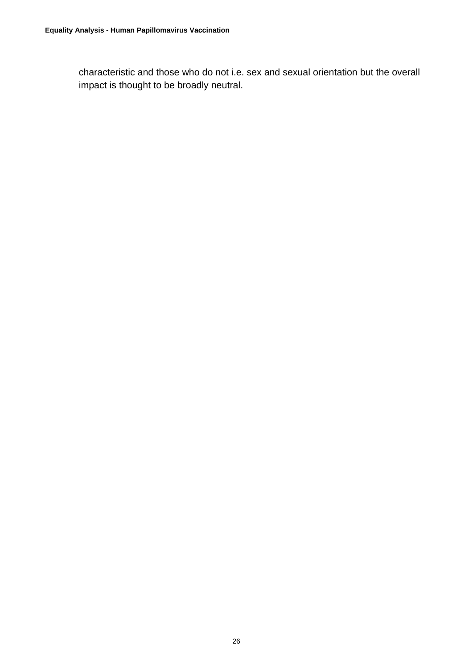characteristic and those who do not i.e. sex and sexual orientation but the overall impact is thought to be broadly neutral.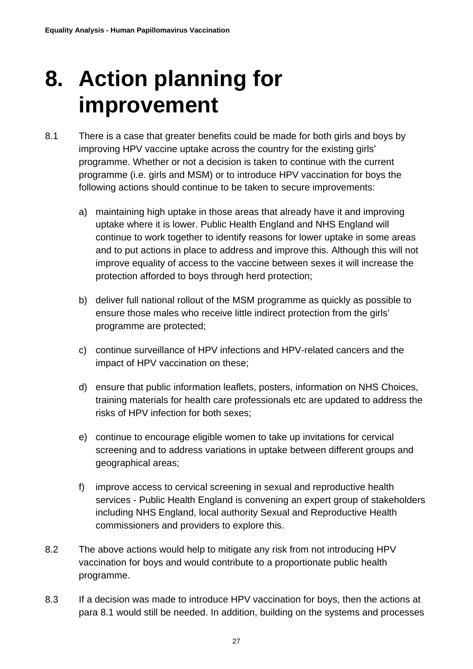## <span id="page-26-0"></span>**8. Action planning for improvement**

- 8.1 There is a case that greater benefits could be made for both girls and boys by improving HPV vaccine uptake across the country for the existing girls' programme. Whether or not a decision is taken to continue with the current programme (i.e. girls and MSM) or to introduce HPV vaccination for boys the following actions should continue to be taken to secure improvements:
	- a) maintaining high uptake in those areas that already have it and improving uptake where it is lower. Public Health England and NHS England will continue to work together to identify reasons for lower uptake in some areas and to put actions in place to address and improve this. Although this will not improve equality of access to the vaccine between sexes it will increase the protection afforded to boys through herd protection;
	- b) deliver full national rollout of the MSM programme as quickly as possible to ensure those males who receive little indirect protection from the girls' programme are protected;
	- c) continue surveillance of HPV infections and HPV-related cancers and the impact of HPV vaccination on these;
	- d) ensure that public information leaflets, posters, information on NHS Choices, training materials for health care professionals etc are updated to address the risks of HPV infection for both sexes;
	- e) continue to encourage eligible women to take up invitations for cervical screening and to address variations in uptake between different groups and geographical areas;
	- f) improve access to cervical screening in sexual and reproductive health services - Public Health England is convening an expert group of stakeholders including NHS England, local authority Sexual and Reproductive Health commissioners and providers to explore this.
- 8.2 The above actions would help to mitigate any risk from not introducing HPV vaccination for boys and would contribute to a proportionate public health programme.
- 8.3 If a decision was made to introduce HPV vaccination for boys, then the actions at para 8.1 would still be needed. In addition, building on the systems and processes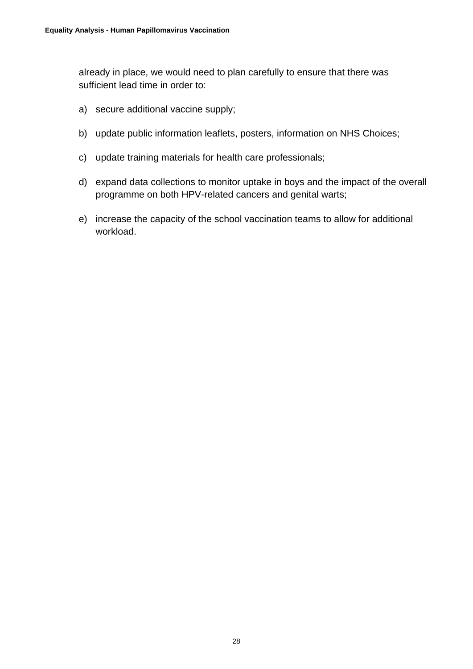already in place, we would need to plan carefully to ensure that there was sufficient lead time in order to:

- a) secure additional vaccine supply;
- b) update public information leaflets, posters, information on NHS Choices;
- c) update training materials for health care professionals;
- d) expand data collections to monitor uptake in boys and the impact of the overall programme on both HPV-related cancers and genital warts;
- e) increase the capacity of the school vaccination teams to allow for additional workload.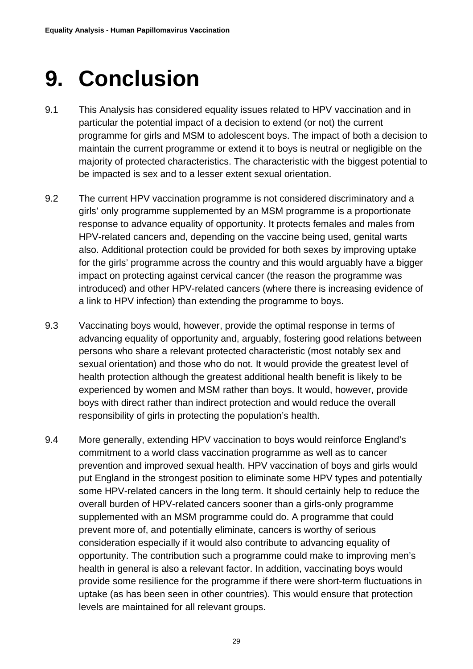## <span id="page-28-0"></span>**9. Conclusion**

- 9.1 This Analysis has considered equality issues related to HPV vaccination and in particular the potential impact of a decision to extend (or not) the current programme for girls and MSM to adolescent boys. The impact of both a decision to maintain the current programme or extend it to boys is neutral or negligible on the majority of protected characteristics. The characteristic with the biggest potential to be impacted is sex and to a lesser extent sexual orientation.
- 9.2 The current HPV vaccination programme is not considered discriminatory and a girls' only programme supplemented by an MSM programme is a proportionate response to advance equality of opportunity. It protects females and males from HPV-related cancers and, depending on the vaccine being used, genital warts also. Additional protection could be provided for both sexes by improving uptake for the girls' programme across the country and this would arguably have a bigger impact on protecting against cervical cancer (the reason the programme was introduced) and other HPV-related cancers (where there is increasing evidence of a link to HPV infection) than extending the programme to boys.
- 9.3 Vaccinating boys would, however, provide the optimal response in terms of advancing equality of opportunity and, arguably, fostering good relations between persons who share a relevant protected characteristic (most notably sex and sexual orientation) and those who do not. It would provide the greatest level of health protection although the greatest additional health benefit is likely to be experienced by women and MSM rather than boys. It would, however, provide boys with direct rather than indirect protection and would reduce the overall responsibility of girls in protecting the population's health.
- 9.4 More generally, extending HPV vaccination to boys would reinforce England's commitment to a world class vaccination programme as well as to cancer prevention and improved sexual health. HPV vaccination of boys and girls would put England in the strongest position to eliminate some HPV types and potentially some HPV-related cancers in the long term. It should certainly help to reduce the overall burden of HPV-related cancers sooner than a girls-only programme supplemented with an MSM programme could do. A programme that could prevent more of, and potentially eliminate, cancers is worthy of serious consideration especially if it would also contribute to advancing equality of opportunity. The contribution such a programme could make to improving men's health in general is also a relevant factor. In addition, vaccinating boys would provide some resilience for the programme if there were short-term fluctuations in uptake (as has been seen in other countries). This would ensure that protection levels are maintained for all relevant groups.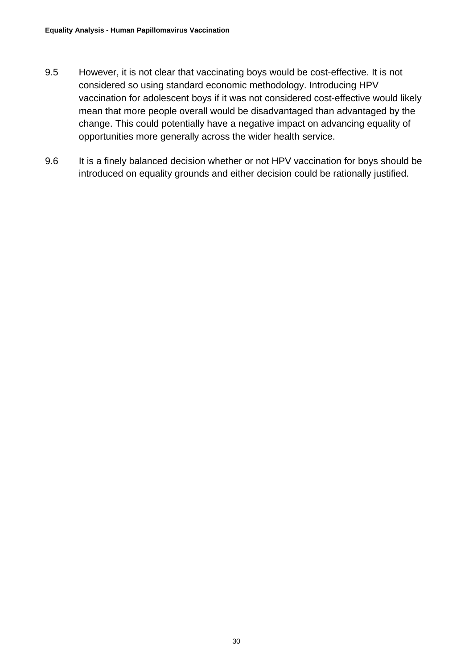- 9.5 However, it is not clear that vaccinating boys would be cost-effective. It is not considered so using standard economic methodology. Introducing HPV vaccination for adolescent boys if it was not considered cost-effective would likely mean that more people overall would be disadvantaged than advantaged by the change. This could potentially have a negative impact on advancing equality of opportunities more generally across the wider health service.
- <span id="page-29-0"></span>9.6 It is a finely balanced decision whether or not HPV vaccination for boys should be introduced on equality grounds and either decision could be rationally justified.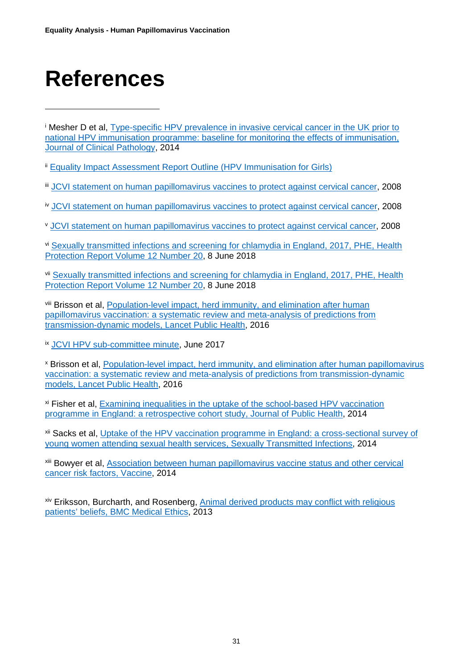# **References**

 $\overline{a}$ 

<span id="page-30-0"></span><sup>i</sup> Mesher D et al, [Type-specific HPV prevalence in invasive cervical cancer in the UK prior to](https://jcp.bmj.com/content/68/2/135)  [national HPV immunisation programme: baseline for monitoring the effects of immunisation,](https://jcp.bmj.com/content/68/2/135)  [Journal of Clinical Pathology,](https://jcp.bmj.com/content/68/2/135) 2014

<span id="page-30-1"></span><sup>ii</sup> [Equality Impact Assessment Report Outline \(HPV Immunisation for Girls\)](http://webarchive.nationalarchives.gov.uk/20120503212515/http:/www.dh.gov.uk/prod_consum_dh/groups/dh_digitalassets/documents/digitalasset/dh_104014.pdf)

<span id="page-30-2"></span>iii [JCVI statement on human papillomavirus vaccines to protect against cervical cancer,](http://webarchive.nationalarchives.gov.uk/20120907151322/http:/www.dh.gov.uk/prod_consum_dh/groups/dh_digitalassets/@dh/@ab/documents/digitalasset/dh_094739.pdf) 2008

<span id="page-30-3"></span>iv [JCVI statement on human papillomavirus vaccines to protect against cervical cancer,](http://webarchive.nationalarchives.gov.uk/20120907151322/http:/www.dh.gov.uk/prod_consum_dh/groups/dh_digitalassets/@dh/@ab/documents/digitalasset/dh_094739.pdf) 2008

<span id="page-30-4"></span><sup>v</sup> [JCVI statement on human papillomavirus vaccines to protect against cervical cancer,](http://webarchive.nationalarchives.gov.uk/20120907151322/http:/www.dh.gov.uk/prod_consum_dh/groups/dh_digitalassets/@dh/@ab/documents/digitalasset/dh_094739.pdf) 2008

<span id="page-30-5"></span>vi [Sexually transmitted infections and screening for chlamydia in England, 2017, PHE, Health](https://www.gov.uk/government/statistics/sexually-transmitted-infections-stis-annual-data-tables)  [Protection Report Volume 12 Number](https://www.gov.uk/government/statistics/sexually-transmitted-infections-stis-annual-data-tables) 20, 8 June 2018

<span id="page-30-6"></span>vii [Sexually transmitted infections and screening for chlamydia in England, 2017, PHE, Health](https://www.gov.uk/government/statistics/sexually-transmitted-infections-stis-annual-data-tables)  [Protection Report Volume 12 Number 20,](https://www.gov.uk/government/statistics/sexually-transmitted-infections-stis-annual-data-tables) 8 June 2018

<span id="page-30-7"></span>viii Brisson et al, Population-level impact, herd immunity, and elimination after human [papillomavirus vaccination: a systematic](https://www.thelancet.com/journals/lanpub/article/PIIS2468-2667(16)30001-9/fulltext) review and meta-analysis of predictions from [transmission-dynamic models, Lancet Public Health,](https://www.thelancet.com/journals/lanpub/article/PIIS2468-2667(16)30001-9/fulltext) 2016

<span id="page-30-8"></span>ix [JCVI HPV sub-committee minute,](https://app.box.com/s/600veu6zr6s3gjvx8mkt/file/198733266698) June 2017

<span id="page-30-9"></span><sup>x</sup> Brisson et al, [Population-level impact, herd immunity, and elimination after human papillomavirus](https://www.thelancet.com/journals/lanpub/article/PIIS2468-2667(16)30001-9/fulltext)  [vaccination: a systematic review and meta-analysis of predictions from transmission-dynamic](https://www.thelancet.com/journals/lanpub/article/PIIS2468-2667(16)30001-9/fulltext)  [models, Lancet Public Health,](https://www.thelancet.com/journals/lanpub/article/PIIS2468-2667(16)30001-9/fulltext) 2016

<span id="page-30-10"></span>xi Fisher et al, [Examining inequalities in the uptake of the school-based HPV vaccination](https://academic.oup.com/jpubhealth/article/36/1/36/1571519)  [programme in England: a retrospective cohort study, Journal of Public](https://academic.oup.com/jpubhealth/article/36/1/36/1571519) Health, 2014

<span id="page-30-11"></span><sup>xii</sup> Sacks et al, Uptake of the HPV vaccination programme in England: a cross-sectional survey of [young women attending sexual health services, Sexually Transmitted Infections,](https://sti.bmj.com/content/90/4/315.full) 2014

<span id="page-30-12"></span>xiii Bowyer et al, [Association between human papillomavirus vaccine status and other cervical](https://www.sciencedirect.com/science/article/pii/S0264410X14008007)  [cancer risk factors, Vaccine,](https://www.sciencedirect.com/science/article/pii/S0264410X14008007) 2014

<span id="page-30-13"></span>xiv Eriksson, Burcharth, and Rosenberg, Animal derived products may conflict with religious patients' beliefs, [BMC Medical Ethics,](https://bmcmedethics.biomedcentral.com/articles/10.1186/1472-6939-14-48) 2013